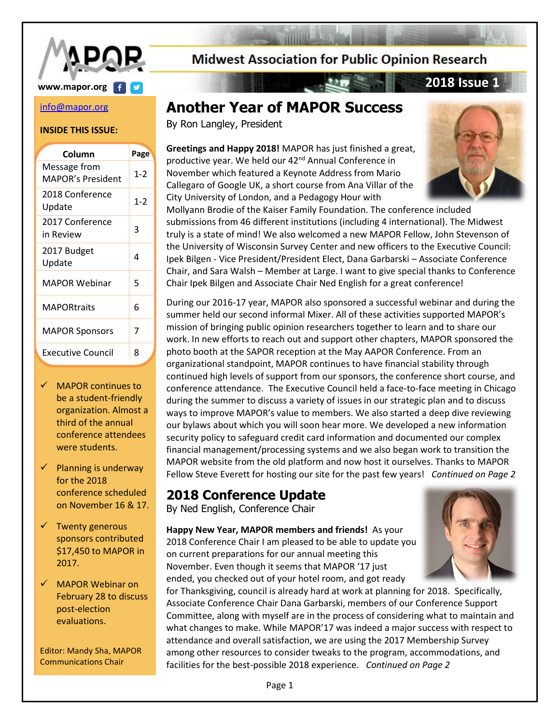

# **www.mapor.org 1**

#### [info@mapor.org](mailto:info@mapor.org)

#### **INSIDE THIS ISSUE:**

| Message from<br>1-2<br>MAPOR's President<br>2018 Conference<br>$1 - 2$<br>Update<br>2017 Conference<br>3<br>in Review<br>2017 Budget<br>Δ<br>Update<br>MAPOR Webinar<br>5<br><b>MAPORtraits</b><br>6<br>7<br><b>MAPOR Sponsors</b> | Column                   | Page |
|------------------------------------------------------------------------------------------------------------------------------------------------------------------------------------------------------------------------------------|--------------------------|------|
|                                                                                                                                                                                                                                    |                          |      |
|                                                                                                                                                                                                                                    |                          |      |
|                                                                                                                                                                                                                                    |                          |      |
|                                                                                                                                                                                                                                    |                          |      |
|                                                                                                                                                                                                                                    |                          |      |
|                                                                                                                                                                                                                                    |                          |      |
|                                                                                                                                                                                                                                    |                          |      |
|                                                                                                                                                                                                                                    | <b>Executive Council</b> | ጸ    |

- ✓ MAPOR continues to be a student-friendly organization. Almost a third of the annual conference attendees were students.
- $\checkmark$  Planning is underway for the 2018 conference scheduled on November 16 & 17.
- $\checkmark$  Twenty generous sponsors contributed \$17,450 to MAPOR in 2017.
- ✓ MAPOR Webinar on February 28 to discuss post-election evaluations.

Editor: Mandy Sha, MAPOR Communications Chair

**Midwest Association for Public Opinion Research** 

# **Another Year of MAPOR Success**

 $\mathbb{Z} \rightarrow \mathbb{Z}$  and  $\mathbb{Z} \rightarrow \mathbb{Z}$ 

By Ron Langley, President

**Greetings and Happy 2018!** MAPOR has just finished a great, productive year. We held our 42<sup>nd</sup> Annual Conference in November which featured a Keynote Address from Mario Callegaro of Google UK, a short course from Ana Villar of the City University of London, and a Pedagogy Hour with



Mollyann Brodie of the Kaiser Family Foundation. The conference included submissions from 46 different institutions (including 4 international). The Midwest truly is a state of mind! We also welcomed a new MAPOR Fellow, John Stevenson of the University of Wisconsin Survey Center and new officers to the Executive Council: Ipek Bilgen - Vice President/President Elect, Dana Garbarski – Associate Conference Chair, and Sara Walsh – Member at Large. I want to give special thanks to Conference Chair Ipek Bilgen and Associate Chair Ned English for a great conference!

During our 2016-17 year, MAPOR also sponsored a successful webinar and during the summer held our second informal Mixer. All of these activities supported MAPOR's mission of bringing public opinion researchers together to learn and to share our work. In new efforts to reach out and support other chapters, MAPOR sponsored the photo booth at the SAPOR reception at the May AAPOR Conference. From an organizational standpoint, MAPOR continues to have financial stability through continued high levels of support from our sponsors, the conference short course, and conference attendance. The Executive Council held a face-to-face meeting in Chicago during the summer to discuss a variety of issues in our strategic plan and to discuss ways to improve MAPOR's value to members. We also started a deep dive reviewing our bylaws about which you will soon hear more. We developed a new information security policy to safeguard credit card information and documented our complex financial management/processing systems and we also began work to transition the MAPOR website from the old platform and now host it ourselves. Thanks to MAPOR Fellow Steve Everett for hosting our site for the past few years! *Continued on Page 2*

## **2018 Conference Update**

By Ned English, Conference Chair

**Happy New Year, MAPOR members and friends!** As your 2018 Conference Chair I am pleased to be able to update you on current preparations for our annual meeting this November. Even though it seems that MAPOR '17 just ended, you checked out of your hotel room, and got ready



for Thanksgiving, council is already hard at work at planning for 2018. Specifically, Associate Conference Chair Dana Garbarski, members of our Conference Support Committee, along with myself are in the process of considering what to maintain and what changes to make. While MAPOR'17 was indeed a major success with respect to attendance and overall satisfaction, we are using the 2017 Membership Survey among other resources to consider tweaks to the program, accommodations, and facilities for the best-possible 2018 experience. *Continued on Page 2*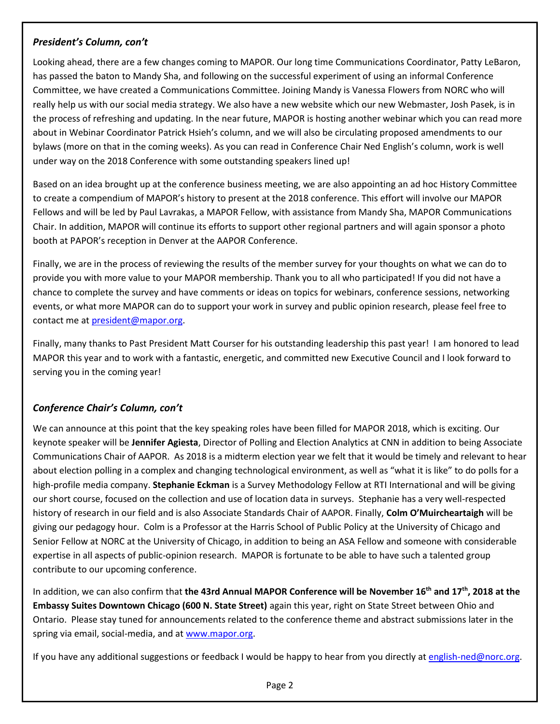### *President's Column, con't*

Looking ahead, there are a few changes coming to MAPOR. Our long time Communications Coordinator, Patty LeBaron, has passed the baton to Mandy Sha, and following on the successful experiment of using an informal Conference Committee, we have created a Communications Committee. Joining Mandy is Vanessa Flowers from NORC who will really help us with our social media strategy. We also have a new website which our new Webmaster, Josh Pasek, is in the process of refreshing and updating. In the near future, MAPOR is hosting another webinar which you can read more about in Webinar Coordinator Patrick Hsieh's column, and we will also be circulating proposed amendments to our bylaws (more on that in the coming weeks). As you can read in Conference Chair Ned English's column, work is well under way on the 2018 Conference with some outstanding speakers lined up!

Based on an idea brought up at the conference business meeting, we are also appointing an ad hoc History Committee to create a compendium of MAPOR's history to present at the 2018 conference. This effort will involve our MAPOR Fellows and will be led by Paul Lavrakas, a MAPOR Fellow, with assistance from Mandy Sha, MAPOR Communications Chair. In addition, MAPOR will continue its efforts to support other regional partners and will again sponsor a photo booth at PAPOR's reception in Denver at the AAPOR Conference.

Finally, we are in the process of reviewing the results of the member survey for your thoughts on what we can do to provide you with more value to your MAPOR membership. Thank you to all who participated! If you did not have a chance to complete the survey and have comments or ideas on topics for webinars, conference sessions, networking events, or what more MAPOR can do to support your work in survey and public opinion research, please feel free to contact me at [president@mapor.org.](mailto:president@mapor.org)

Finally, many thanks to Past President Matt Courser for his outstanding leadership this past year! I am honored to lead MAPOR this year and to work with a fantastic, energetic, and committed new Executive Council and I look forward to serving you in the coming year!

### *Conference Chair's Column, con't*

We can announce at this point that the key speaking roles have been filled for MAPOR 2018, which is exciting. Our keynote speaker will be **Jennifer Agiesta**, Director of Polling and Election Analytics at CNN in addition to being Associate Communications Chair of AAPOR. As 2018 is a midterm election year we felt that it would be timely and relevant to hear about election polling in a complex and changing technological environment, as well as "what it is like" to do polls for a high-profile media company. **Stephanie Eckman** is a Survey Methodology Fellow at RTI International and will be giving our short course, focused on the collection and use of location data in surveys. Stephanie has a very well-respected history of research in our field and is also Associate Standards Chair of AAPOR. Finally, **Colm O'Muircheartaigh** will be giving our pedagogy hour. Colm is a Professor at the Harris School of Public Policy at the University of Chicago and Senior Fellow at NORC at the University of Chicago, in addition to being an ASA Fellow and someone with considerable expertise in all aspects of public-opinion research. MAPOR is fortunate to be able to have such a talented group contribute to our upcoming conference.

In addition, we can also confirm that **the 43rd Annual MAPOR Conference will be November 16th and 17th , 2018 at the Embassy Suites Downtown Chicago (600 N. State Street)** again this year, right on State Street between Ohio and Ontario. Please stay tuned for announcements related to the conference theme and abstract submissions later in the spring via email, social-media, and at [www.mapor.org.](http://www.mapor.org/)

If you have any additional suggestions or feedback I would be happy to hear from you directly a[t english-ned@norc.org.](mailto:english-ned@norc.org)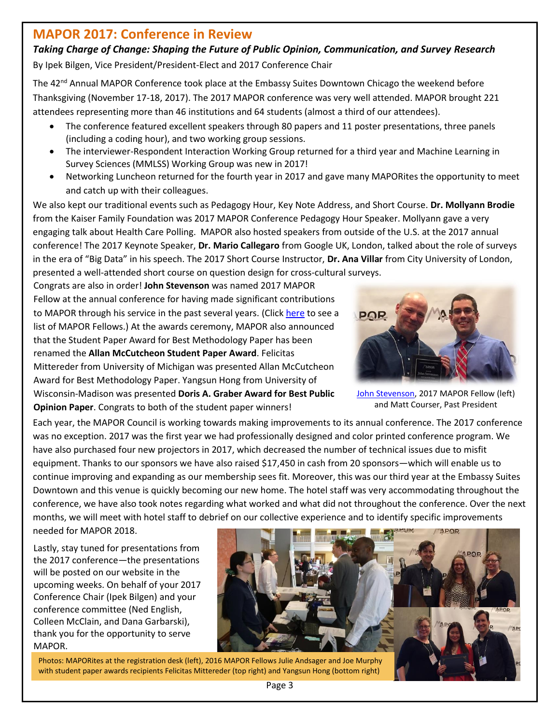## **MAPOR 2017: Conference in Review**

### *Taking Charge of Change: Shaping the Future of Public Opinion, Communication, and Survey Research*

By Ipek Bilgen, Vice President/President-Elect and 2017 Conference Chair

The 42<sup>nd</sup> Annual MAPOR Conference took place at the Embassy Suites Downtown Chicago the weekend before Thanksgiving (November 17-18, 2017). The 2017 MAPOR conference was very well attended. MAPOR brought 221 attendees representing more than 46 institutions and 64 students (almost a third of our attendees).

- The conference featured excellent speakers through 80 papers and 11 poster presentations, three panels (including a coding hour), and two working group sessions.
- The interviewer-Respondent Interaction Working Group returned for a third year and Machine Learning in Survey Sciences (MMLSS) Working Group was new in 2017!
- Networking Luncheon returned for the fourth year in 2017 and gave many MAPORites the opportunity to meet and catch up with their colleagues.

We also kept our traditional events such as Pedagogy Hour, Key Note Address, and Short Course. **Dr. Mollyann Brodie** from the Kaiser Family Foundation was 2017 MAPOR Conference Pedagogy Hour Speaker. Mollyann gave a very engaging talk about Health Care Polling. MAPOR also hosted speakers from outside of the U.S. at the 2017 annual conference! The 2017 Keynote Speaker, **Dr. Mario Callegaro** from Google UK, London, talked about the role of surveys in the era of "Big Data" in his speech. The 2017 Short Course Instructor, **Dr. Ana Villar** from City University of London, presented a well-attended short course on question design for cross-cultural surveys.

Congrats are also in order! **John Stevenson** was named 2017 MAPOR Fellow at the annual conference for having made significant contributions to MAPOR through his service in the past several years. (Clic[k here](http://www.mapor.org/aboutus.html) to see a list of MAPOR Fellows.) At the awards ceremony, MAPOR also announced that the Student Paper Award for Best Methodology Paper has been renamed the **Allan McCutcheon Student Paper Award**. Felicitas Mittereder from University of Michigan was presented Allan McCutcheon Award for Best Methodology Paper. Yangsun Hong from University of Wisconsin-Madison was presented **Doris A. Graber Award for Best Public Opinion Paper**. Congrats to both of the student paper winners!



[John Stevenson,](https://uwsc.wisc.edu/associate-director-john-stevenson-named-2017-mapor-fellow/) 2017 MAPOR Fellow (left) and Matt Courser, Past President

Each year, the MAPOR Council is working towards making improvements to its annual conference. The 2017 conference was no exception. 2017 was the first year we had professionally designed and color printed conference program. We have also purchased four new projectors in 2017, which decreased the number of technical issues due to misfit equipment. Thanks to our sponsors we have also raised \$17,450 in cash from 20 sponsors—which will enable us to continue improving and expanding as our membership sees fit. Moreover, this was our third year at the Embassy Suites Downtown and this venue is quickly becoming our new home. The hotel staff was very accommodating throughout the conference, we have also took notes regarding what worked and what did not throughout the conference. Over the next months, we will meet with hotel staff to debrief on our collective experience and to identify specific improvements

needed for MAPOR 2018.

Lastly, stay tuned for presentations from the 2017 conference—the presentations will be posted on our website in the upcoming weeks. On behalf of your 2017 Conference Chair (Ipek Bilgen) and your conference committee (Ned English, Colleen McClain, and Dana Garbarski), thank you for the opportunity to serve MAPOR.



Photos: MAPORites at the registration desk (left), 2016 MAPOR Fellows Julie Andsager and Joe Murphy with student paper awards recipients Felicitas Mittereder (top right) and Yangsun Hong (bottom right)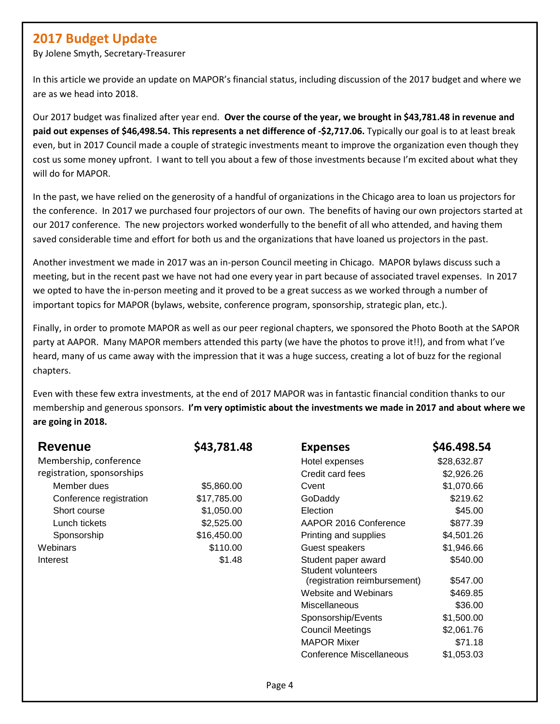# **2017 Budget Update**

By Jolene Smyth, Secretary-Treasurer

In this article we provide an update on MAPOR's financial status, including discussion of the 2017 budget and where we are as we head into 2018.

Our 2017 budget was finalized after year end. **Over the course of the year, we brought in \$43,781.48 in revenue and paid out expenses of \$46,498.54. This represents a net difference of -\$2,717.06.** Typically our goal is to at least break even, but in 2017 Council made a couple of strategic investments meant to improve the organization even though they cost us some money upfront. I want to tell you about a few of those investments because I'm excited about what they will do for MAPOR.

In the past, we have relied on the generosity of a handful of organizations in the Chicago area to loan us projectors for the conference. In 2017 we purchased four projectors of our own. The benefits of having our own projectors started at our 2017 conference. The new projectors worked wonderfully to the benefit of all who attended, and having them saved considerable time and effort for both us and the organizations that have loaned us projectors in the past.

Another investment we made in 2017 was an in-person Council meeting in Chicago. MAPOR bylaws discuss such a meeting, but in the recent past we have not had one every year in part because of associated travel expenses. In 2017 we opted to have the in-person meeting and it proved to be a great success as we worked through a number of important topics for MAPOR (bylaws, website, conference program, sponsorship, strategic plan, etc.).

Finally, in order to promote MAPOR as well as our peer regional chapters, we sponsored the Photo Booth at the SAPOR party at AAPOR. Many MAPOR members attended this party (we have the photos to prove it!!), and from what I've heard, many of us came away with the impression that it was a huge success, creating a lot of buzz for the regional chapters.

Even with these few extra investments, at the end of 2017 MAPOR was in fantastic financial condition thanks to our membership and generous sponsors. **I'm very optimistic about the investments we made in 2017 and about where we are going in 2018.**

| <b>Revenue</b>             | \$43,781.48 | <b>Expenses</b>                                  | \$46.498.54 |
|----------------------------|-------------|--------------------------------------------------|-------------|
| Membership, conference     |             | Hotel expenses                                   | \$28,632.87 |
| registration, sponsorships |             | Credit card fees                                 | \$2,926.26  |
| Member dues                | \$5,860.00  | Cvent                                            | \$1,070.66  |
| Conference registration    | \$17,785.00 | GoDaddy                                          | \$219.62    |
| Short course               | \$1,050.00  | Election                                         | \$45.00     |
| Lunch tickets              | \$2,525.00  | AAPOR 2016 Conference                            | \$877.39    |
| Sponsorship                | \$16,450.00 | Printing and supplies                            | \$4,501.26  |
| Webinars                   | \$110.00    | Guest speakers                                   | \$1,946.66  |
| Interest                   | \$1.48      | Student paper award<br><b>Student volunteers</b> | \$540.00    |
|                            |             | (registration reimbursement)                     | \$547.00    |
|                            |             | Website and Webinars                             | \$469.85    |
|                            |             | Miscellaneous                                    | \$36.00     |
|                            |             | Sponsorship/Events                               | \$1,500.00  |
|                            |             | <b>Council Meetings</b>                          | \$2,061.76  |
|                            |             | <b>MAPOR Mixer</b>                               | \$71.18     |
|                            |             | Conference Miscellaneous                         | \$1,053.03  |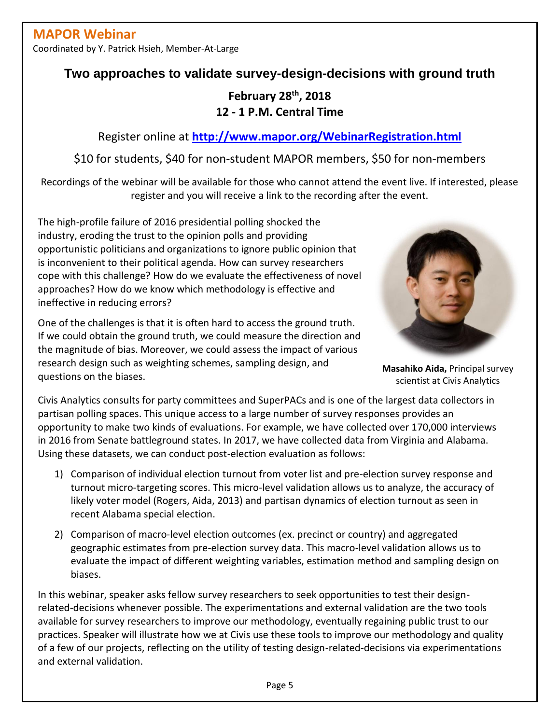Coordinated by Y. Patrick Hsieh, Member-At-Large

## **Two approaches to validate survey-design-decisions with ground truth**

**February 28th , 2018 12 - 1 P.M. Central Time**

Register online at **<http://www.mapor.org/WebinarRegistration.html>**

\$10 for students, \$40 for non-student MAPOR members, \$50 for non-members

Recordings of the webinar will be available for those who cannot attend the event live. If interested, please register and you will receive a link to the recording after the event.

The high-profile failure of 2016 presidential polling shocked the industry, eroding the trust to the opinion polls and providing opportunistic politicians and organizations to ignore public opinion that is inconvenient to their political agenda. How can survey researchers cope with this challenge? How do we evaluate the effectiveness of novel approaches? How do we know which methodology is effective and ineffective in reducing errors?

One of the challenges is that it is often hard to access the ground truth. If we could obtain the ground truth, we could measure the direction and the magnitude of bias. Moreover, we could assess the impact of various research design such as weighting schemes, sampling design, and questions on the biases.



**Masahiko Aida,** Principal survey scientist at Civis Analytics

Civis Analytics consults for party committees and SuperPACs and is one of the largest data collectors in partisan polling spaces. This unique access to a large number of survey responses provides an opportunity to make two kinds of evaluations. For example, we have collected over 170,000 interviews in 2016 from Senate battleground states. In 2017, we have collected data from Virginia and Alabama. Using these datasets, we can conduct post-election evaluation as follows:

- 1) Comparison of individual election turnout from voter list and pre-election survey response and turnout micro-targeting scores. This micro-level validation allows us to analyze, the accuracy of likely voter model (Rogers, Aida, 2013) and partisan dynamics of election turnout as seen in recent Alabama special election.
- 2) Comparison of macro-level election outcomes (ex. precinct or country) and aggregated geographic estimates from pre-election survey data. This macro-level validation allows us to evaluate the impact of different weighting variables, estimation method and sampling design on biases.

In this webinar, speaker asks fellow survey researchers to seek opportunities to test their designrelated-decisions whenever possible. The experimentations and external validation are the two tools available for survey researchers to improve our methodology, eventually regaining public trust to our practices. Speaker will illustrate how we at Civis use these tools to improve our methodology and quality of a few of our projects, reflecting on the utility of testing design-related-decisions via experimentations and external validation.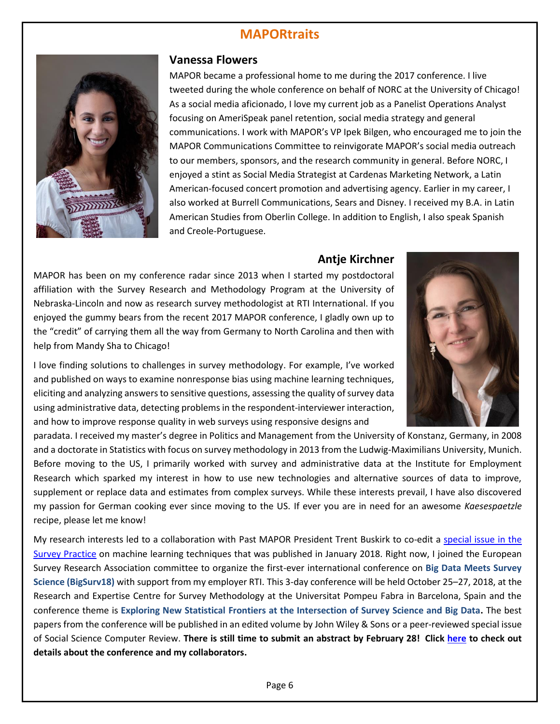# **MAPORtraits**



#### **Vanessa Flowers**

MAPOR became a professional home to me during the 2017 conference. I live tweeted during the whole conference on behalf of NORC at the University of Chicago! As a social media aficionado, I love my current job as a Panelist Operations Analyst focusing on AmeriSpeak panel retention, social media strategy and general communications. I work with MAPOR's VP Ipek Bilgen, who encouraged me to join the MAPOR Communications Committee to reinvigorate MAPOR's social media outreach to our members, sponsors, and the research community in general. Before NORC, I enjoyed a stint as Social Media Strategist at Cardenas Marketing Network, a Latin American-focused concert promotion and advertising agency. Earlier in my career, I also worked at Burrell Communications, Sears and Disney. I received my B.A. in Latin American Studies from Oberlin College. In addition to English, I also speak Spanish and Creole-Portuguese.

#### **Antje Kirchner**

MAPOR has been on my conference radar since 2013 when I started my postdoctoral affiliation with the Survey Research and Methodology Program at the University of Nebraska-Lincoln and now as research survey methodologist at RTI International. If you enjoyed the gummy bears from the recent 2017 MAPOR conference, I gladly own up to the "credit" of carrying them all the way from Germany to North Carolina and then with help from Mandy Sha to Chicago!



I love finding solutions to challenges in survey methodology. For example, I've worked and published on ways to examine nonresponse bias using machine learning techniques, eliciting and analyzing answers to sensitive questions, assessing the quality of survey data using administrative data, detecting problems in the respondent-interviewer interaction, and how to improve response quality in web surveys using responsive designs and

paradata. I received my master's degree in Politics and Management from the University of Konstanz, Germany, in 2008 and a doctorate in Statistics with focus on survey methodology in 2013 from the Ludwig-Maximilians University, Munich. Before moving to the US, I primarily worked with survey and administrative data at the Institute for Employment Research which sparked my interest in how to use new technologies and alternative sources of data to improve, supplement or replace data and estimates from complex surveys. While these interests prevail, I have also discovered my passion for German cooking ever since moving to the US. If ever you are in need for an awesome *Kaesespaetzle* recipe, please let me know!

My research interests led to a collaboration with Past MAPOR President Trent Buskirk to co-edit a [special issue in the](http://www.surveypractice.org/issue/590) [Survey Practice](http://www.surveypractice.org/issue/590) on machine learning techniques that was published in January 2018. Right now, I joined the European Survey Research Association committee to organize the first-ever international conference on **Big Data Meets Survey Science (BigSurv18)** with support from my employer RTI. This 3-day conference will be held October 25–27, 2018, at the Research and Expertise Centre for Survey Methodology at the Universitat Pompeu Fabra in Barcelona, Spain and the conference theme is **Exploring New Statistical Frontiers at the Intersection of Survey Science and Big Data.** The best papers from the conference will be published in an edited volume by John Wiley & Sons or a peer-reviewed special issue of Social Science Computer Review. **There is still time to submit an abstract by February 28! Click [here](https://www.bigsurv18.org/abstracts) to check out details about the conference and my collaborators.**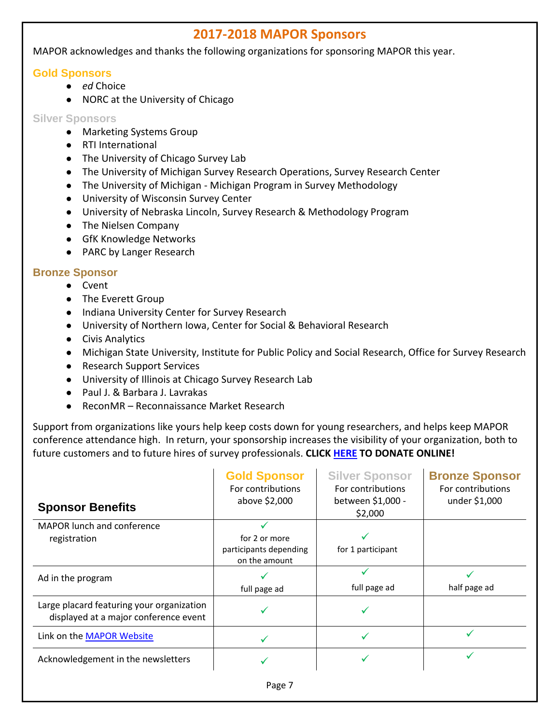## **2017-2018 MAPOR Sponsors**

MAPOR acknowledges and thanks the following organizations for sponsoring MAPOR this year.

#### **Gold Sponsors**

- *ed* Choice
- NORC at the University of Chicago

#### **Silver Sponsors**

- Marketing Systems Group
- RTI International
- The University of Chicago Survey Lab
- The University of Michigan Survey Research Operations, Survey Research Center
- The University of Michigan Michigan Program in Survey Methodology
- University of Wisconsin Survey Center
- University of Nebraska Lincoln, Survey Research & Methodology Program
- The Nielsen Company
- GfK Knowledge Networks
- PARC by Langer Research

### **Bronze Sponsor**

- Cvent
- The Everett Group
- Indiana University Center for Survey Research
- University of Northern Iowa, Center for Social & Behavioral Research
- Civis Analytics
- Michigan State University, Institute for Public Policy and Social Research, Office for Survey Research
- Research Support Services
- University of Illinois at Chicago Survey Research Lab
- Paul J. & Barbara J. Lavrakas
- ReconMR Reconnaissance Market Research

Support from organizations like yours help keep costs down for young researchers, and helps keep MAPOR conference attendance high. In return, your sponsorship increases the visibility of your organization, both to future customers and to future hires of survey professionals. **CLICK [HERE](https://simplecheckout.authorize.net/payment/CatalogPayment.aspx) TO DONATE ONLINE!**

| <b>Sponsor Benefits</b>                                                            | <b>Gold Sponsor</b><br>For contributions<br>above \$2,000 | <b>Silver Sponsor</b><br>For contributions<br>between \$1,000 -<br>\$2,000 | <b>Bronze Sponsor</b><br>For contributions<br>under \$1,000 |
|------------------------------------------------------------------------------------|-----------------------------------------------------------|----------------------------------------------------------------------------|-------------------------------------------------------------|
| <b>MAPOR lunch and conference</b>                                                  |                                                           |                                                                            |                                                             |
| registration                                                                       | for 2 or more                                             |                                                                            |                                                             |
|                                                                                    | participants depending                                    | for 1 participant                                                          |                                                             |
|                                                                                    | on the amount                                             |                                                                            |                                                             |
| Ad in the program                                                                  |                                                           |                                                                            |                                                             |
|                                                                                    | full page ad                                              | full page ad                                                               | half page ad                                                |
| Large placard featuring your organization<br>displayed at a major conference event |                                                           |                                                                            |                                                             |
| Link on the MAPOR Website                                                          |                                                           |                                                                            |                                                             |
| Acknowledgement in the newsletters                                                 |                                                           |                                                                            |                                                             |
|                                                                                    |                                                           |                                                                            |                                                             |